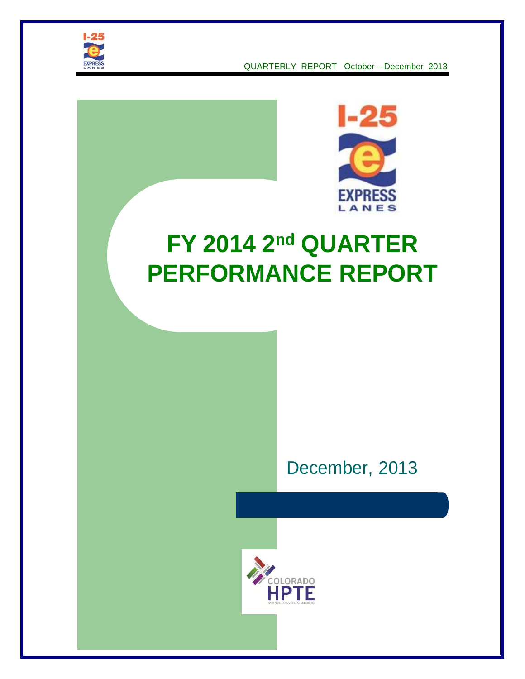



# **FY 2014 2nd QUARTER PERFORMANCE REPORT**



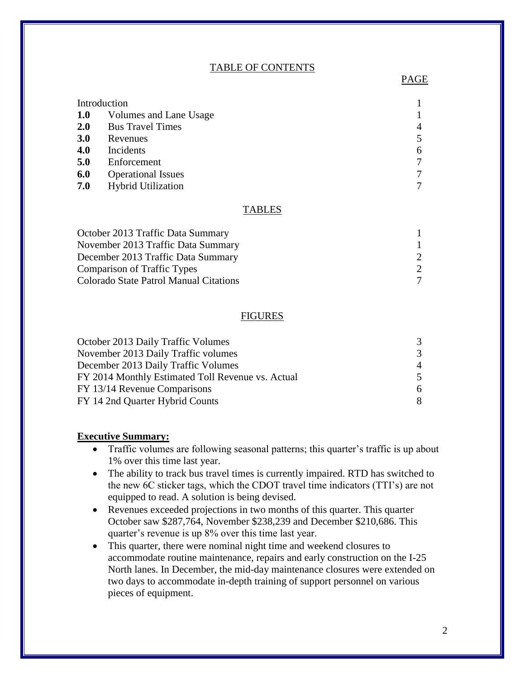#### TABLE OF CONTENTS

| Introduction |                           |   |
|--------------|---------------------------|---|
| <b>1.0</b>   | Volumes and Lane Usage    |   |
| <b>2.0</b>   | <b>Bus Travel Times</b>   | 4 |
| <b>3.0</b>   | Revenues                  |   |
| 4.0          | Incidents                 | 6 |
| 5.0          | Enforcement               | 7 |
| 6.0          | <b>Operational Issues</b> | 7 |
| 7.0          | <b>Hybrid Utilization</b> |   |

#### TABLES

| $\mathcal{D}$ |
|---------------|
| $\mathcal{D}$ |
|               |
|               |

#### FIGURES

| October 2013 Daily Traffic Volumes                | 3              |
|---------------------------------------------------|----------------|
| November 2013 Daily Traffic volumes               | 3              |
| December 2013 Daily Traffic Volumes               | $\overline{A}$ |
| FY 2014 Monthly Estimated Toll Revenue vs. Actual | 5              |
| FY 13/14 Revenue Comparisons                      | 6              |
| FY 14 2nd Quarter Hybrid Counts                   | 8              |

#### **Executive Summary:**

- Traffic volumes are following seasonal patterns; this quarter's traffic is up about 1% over this time last year.
- The ability to track bus travel times is currently impaired. RTD has switched to the new 6C sticker tags, which the CDOT travel time indicators (TTI's) are not equipped to read. A solution is being devised.
- Revenues exceeded projections in two months of this quarter. This quarter October saw \$287,764, November \$238,239 and December \$210,686. This quarter's revenue is up 8% over this time last year.
- This quarter, there were nominal night time and weekend closures to accommodate routine maintenance, repairs and early construction on the I-25 North lanes. In December, the mid-day maintenance closures were extended on two days to accommodate in-depth training of support personnel on various pieces of equipment.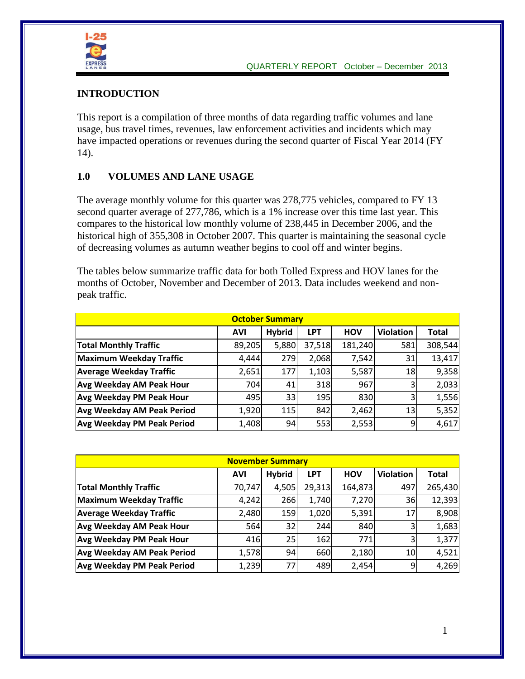

#### **INTRODUCTION**

This report is a compilation of three months of data regarding traffic volumes and lane usage, bus travel times, revenues, law enforcement activities and incidents which may have impacted operations or revenues during the second quarter of Fiscal Year 2014 (FY 14).

## **1.0 VOLUMES AND LANE USAGE**

The average monthly volume for this quarter was 278,775 vehicles, compared to FY 13 second quarter average of 277,786, which is a 1% increase over this time last year. This compares to the historical low monthly volume of 238,445 in December 2006, and the historical high of 355,308 in October 2007. This quarter is maintaining the seasonal cycle of decreasing volumes as autumn weather begins to cool off and winter begins.

The tables below summarize traffic data for both Tolled Express and HOV lanes for the months of October, November and December of 2013. Data includes weekend and nonpeak traffic.

| <b>October Summary</b>            |            |               |            |            |                  |              |  |  |  |
|-----------------------------------|------------|---------------|------------|------------|------------------|--------------|--|--|--|
|                                   | <b>AVI</b> | <b>Hybrid</b> | <b>LPT</b> | <b>HOV</b> | <b>Violation</b> | <b>Total</b> |  |  |  |
| <b>Total Monthly Traffic</b>      | 89,205     | 5,880         | 37,518     | 181,240    | 581              | 308,544      |  |  |  |
| Maximum Weekday Traffic           | 4,444      | 279           | 2,068      | 7,542      | 31               | 13,417       |  |  |  |
| <b>Average Weekday Traffic</b>    | 2,651      | 177           | 1,103      | 5,587      | 18               | 9,358        |  |  |  |
| <b>Avg Weekday AM Peak Hour</b>   | 704        | 41            | 318        | 967        |                  | 2,033        |  |  |  |
| <b>Avg Weekday PM Peak Hour</b>   | 495        | 33            | 195        | 830        | 3                | 1,556        |  |  |  |
| <b>Avg Weekday AM Peak Period</b> | 1,920      | 115           | 842        | 2,462      | 13               | 5,352        |  |  |  |
| <b>Avg Weekday PM Peak Period</b> | 1,408      | 94            | 553        | 2,553      | 9                | 4,617        |  |  |  |

| <b>November Summary</b>           |            |               |            |            |                  |              |  |  |
|-----------------------------------|------------|---------------|------------|------------|------------------|--------------|--|--|
|                                   | <b>AVI</b> | <b>Hybrid</b> | <b>LPT</b> | <b>HOV</b> | <b>Violation</b> | <b>Total</b> |  |  |
| <b>Total Monthly Traffic</b>      | 70,747     | 4,505         | 29,313     | 164,873    | 497              | 265,430      |  |  |
| Maximum Weekday Traffic           | 4,242      | 266           | 1,740      | 7,270      | 36               | 12,393       |  |  |
| <b>Average Weekday Traffic</b>    | 2,480      | 159           | 1,020      | 5,391      | 17               | 8,908        |  |  |
| <b>Avg Weekday AM Peak Hour</b>   | 564        | 32            | 244        | 840        | 3                | 1,683        |  |  |
| <b>Avg Weekday PM Peak Hour</b>   | 416        | 25            | 162        | 771        | 3                | 1,377        |  |  |
| <b>Avg Weekday AM Peak Period</b> | 1,578      | 94            | 660        | 2,180      | 10               | 4,521        |  |  |
| <b>Avg Weekday PM Peak Period</b> | 1,239      | 77            | 489        | 2,454      | 9                | 4,269        |  |  |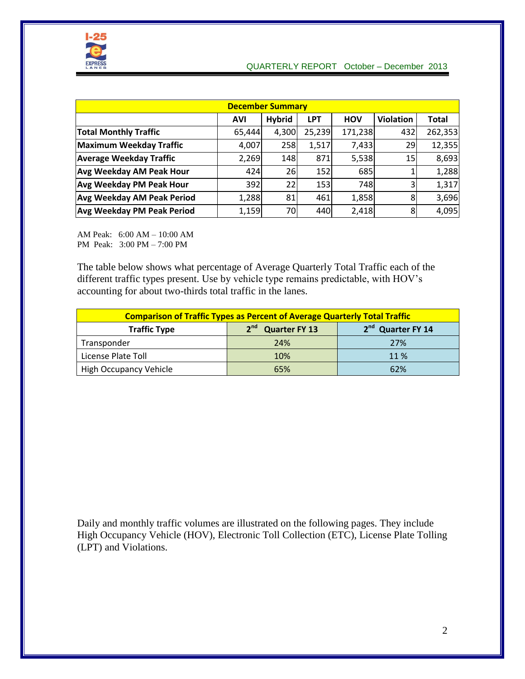

| <b>December Summary</b>           |            |               |            |            |                  |              |  |  |  |
|-----------------------------------|------------|---------------|------------|------------|------------------|--------------|--|--|--|
|                                   | <b>AVI</b> | <b>Hybrid</b> | <b>LPT</b> | <b>HOV</b> | <b>Violation</b> | <b>Total</b> |  |  |  |
| <b>Total Monthly Traffic</b>      | 65,444     | 4,300         | 25,239     | 171,238    | 432              | 262,353      |  |  |  |
| Maximum Weekday Traffic           | 4,007      | 258           | 1,517      | 7,433      | 29               | 12,355       |  |  |  |
| <b>Average Weekday Traffic</b>    | 2,269      | 148           | 871        | 5,538      | 15               | 8,693        |  |  |  |
| <b>Avg Weekday AM Peak Hour</b>   | 424        | 26            | 152        | 685        |                  | 1,288        |  |  |  |
| <b>Avg Weekday PM Peak Hour</b>   | 392        | 22            | 153        | 748        | 3                | 1,317        |  |  |  |
| <b>Avg Weekday AM Peak Period</b> | 1,288      | 81            | 461        | 1,858      | 8                | 3,696        |  |  |  |
| <b>Avg Weekday PM Peak Period</b> | 1,159      | 70            | 440        | 2,418      | 8                | 4,095        |  |  |  |

AM Peak: 6:00 AM – 10:00 AM PM Peak: 3:00 PM – 7:00 PM

The table below shows what percentage of Average Quarterly Total Traffic each of the different traffic types present. Use by vehicle type remains predictable, with HOV's accounting for about two-thirds total traffic in the lanes.

| <b>Comparison of Traffic Types as Percent of Average Quarterly Total Traffic</b>                |     |      |  |  |  |  |  |  |  |
|-------------------------------------------------------------------------------------------------|-----|------|--|--|--|--|--|--|--|
| 2 <sup>nd</sup> Quarter FY 14<br>2 <sup>nd</sup><br><b>Quarter FY 13</b><br><b>Traffic Type</b> |     |      |  |  |  |  |  |  |  |
| Transponder                                                                                     | 24% | 27%  |  |  |  |  |  |  |  |
| License Plate Toll                                                                              | 10% | 11 % |  |  |  |  |  |  |  |
| High Occupancy Vehicle                                                                          | 65% | 62%  |  |  |  |  |  |  |  |

Daily and monthly traffic volumes are illustrated on the following pages. They include High Occupancy Vehicle (HOV), Electronic Toll Collection (ETC), License Plate Tolling (LPT) and Violations.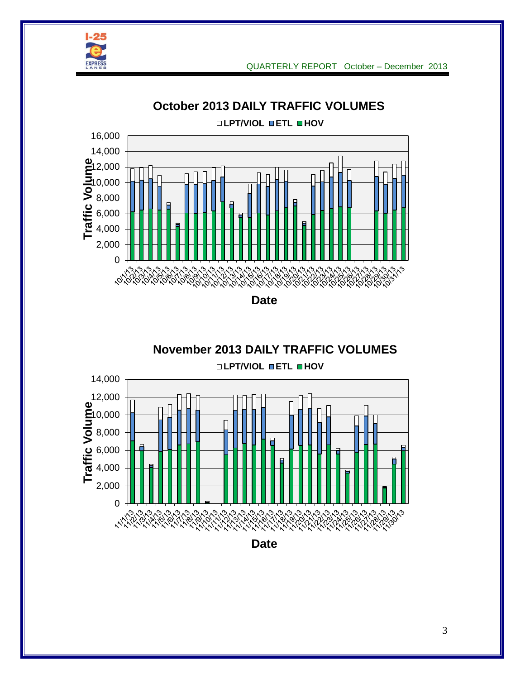



**October 2013 DAILY TRAFFIC VOLUMES**



**Date**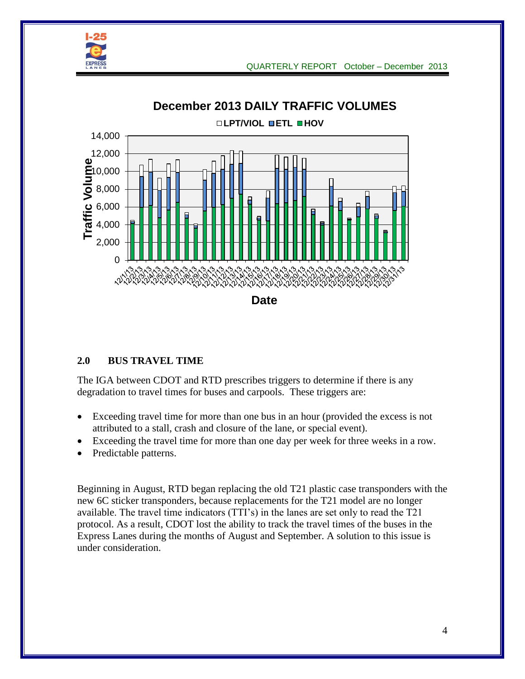



## **2.0 BUS TRAVEL TIME**

The IGA between CDOT and RTD prescribes triggers to determine if there is any degradation to travel times for buses and carpools. These triggers are:

- Exceeding travel time for more than one bus in an hour (provided the excess is not attributed to a stall, crash and closure of the lane, or special event).
- Exceeding the travel time for more than one day per week for three weeks in a row.
- Predictable patterns.

Beginning in August, RTD began replacing the old T21 plastic case transponders with the new 6C sticker transponders, because replacements for the T21 model are no longer available. The travel time indicators (TTI's) in the lanes are set only to read the T21 protocol. As a result, CDOT lost the ability to track the travel times of the buses in the Express Lanes during the months of August and September. A solution to this issue is under consideration.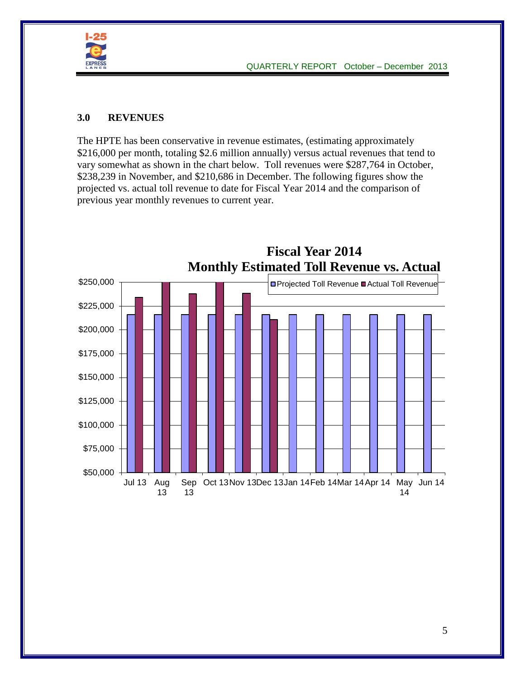

## **3.0 REVENUES**

The HPTE has been conservative in revenue estimates, (estimating approximately \$216,000 per month, totaling \$2.6 million annually) versus actual revenues that tend to vary somewhat as shown in the chart below. Toll revenues were \$287,764 in October, \$238,239 in November, and \$210,686 in December. The following figures show the projected vs. actual toll revenue to date for Fiscal Year 2014 and the comparison of previous year monthly revenues to current year.

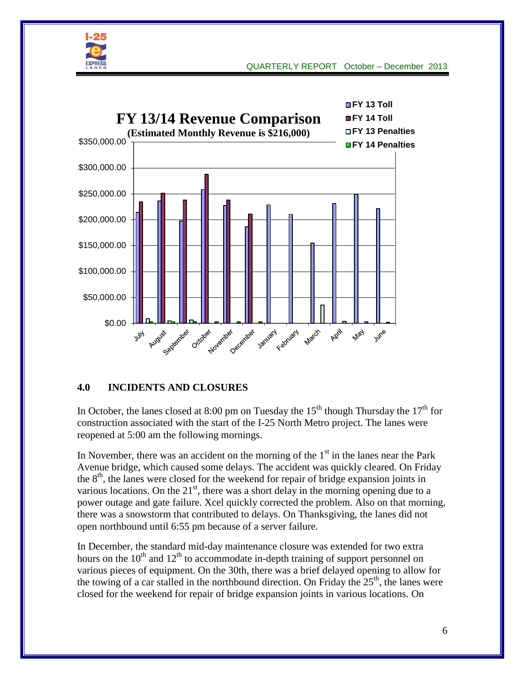



## **4.0 INCIDENTS AND CLOSURES**

In October, the lanes closed at 8:00 pm on Tuesday the  $15<sup>th</sup>$  though Thursday the  $17<sup>th</sup>$  for construction associated with the start of the I-25 North Metro project. The lanes were reopened at 5:00 am the following mornings.

In November, there was an accident on the morning of the  $1<sup>st</sup>$  in the lanes near the Park Avenue bridge, which caused some delays. The accident was quickly cleared. On Friday the  $8<sup>th</sup>$ , the lanes were closed for the weekend for repair of bridge expansion joints in various locations. On the  $21<sup>st</sup>$ , there was a short delay in the morning opening due to a power outage and gate failure. Xcel quickly corrected the problem. Also on that morning, there was a snowstorm that contributed to delays. On Thanksgiving, the lanes did not open northbound until 6:55 pm because of a server failure.

In December, the standard mid-day maintenance closure was extended for two extra hours on the  $10<sup>th</sup>$  and  $12<sup>th</sup>$  to accommodate in-depth training of support personnel on various pieces of equipment. On the 30th, there was a brief delayed opening to allow for the towing of a car stalled in the northbound direction. On Friday the  $25<sup>th</sup>$ , the lanes were closed for the weekend for repair of bridge expansion joints in various locations. On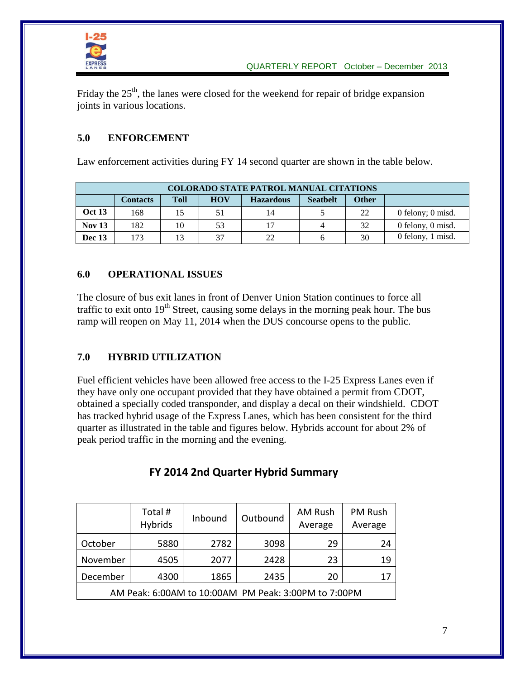

Friday the  $25<sup>th</sup>$ , the lanes were closed for the weekend for repair of bridge expansion joints in various locations.

# **5.0 ENFORCEMENT**

Law enforcement activities during FY 14 second quarter are shown in the table below.

| <b>COLORADO STATE PATROL MANUAL CITATIONS</b> |                                                                                                     |    |    |    |  |    |                   |  |  |  |
|-----------------------------------------------|-----------------------------------------------------------------------------------------------------|----|----|----|--|----|-------------------|--|--|--|
|                                               | <b>Toll</b><br><b>HOV</b><br><b>Other</b><br><b>Seathelt</b><br><b>Hazardous</b><br><b>Contacts</b> |    |    |    |  |    |                   |  |  |  |
| <b>Oct 13</b>                                 | 168                                                                                                 | 15 | 51 | 14 |  | 22 | 0 felony; 0 misd. |  |  |  |
| <b>Nov 13</b>                                 | 182                                                                                                 | 10 | 53 |    |  | 32 | 0 felony, 0 misd. |  |  |  |
| <b>Dec 13</b>                                 | 173                                                                                                 | 13 | 37 | 22 |  | 30 | 0 felony, 1 misd. |  |  |  |

## **6.0 OPERATIONAL ISSUES**

The closure of bus exit lanes in front of Denver Union Station continues to force all traffic to exit onto  $19<sup>th</sup>$  Street, causing some delays in the morning peak hour. The bus ramp will reopen on May 11, 2014 when the DUS concourse opens to the public.

## **7.0 HYBRID UTILIZATION**

Fuel efficient vehicles have been allowed free access to the I-25 Express Lanes even if they have only one occupant provided that they have obtained a permit from CDOT, obtained a specially coded transponder, and display a decal on their windshield. CDOT has tracked hybrid usage of the Express Lanes, which has been consistent for the third quarter as illustrated in the table and figures below. Hybrids account for about 2% of peak period traffic in the morning and the evening.

|                                                      | Total #<br>Hybrids | Inbound | Outbound | AM Rush<br>Average | PM Rush<br>Average |  |  |  |
|------------------------------------------------------|--------------------|---------|----------|--------------------|--------------------|--|--|--|
| October                                              | 5880               | 2782    | 3098     | 29                 | 24                 |  |  |  |
| November                                             | 4505               | 2077    | 2428     | 23                 | 19                 |  |  |  |
| December                                             | 4300               | 1865    | 2435     | 20                 | 17                 |  |  |  |
| AM Peak: 6:00AM to 10:00AM PM Peak: 3:00PM to 7:00PM |                    |         |          |                    |                    |  |  |  |

# **FY 2014 2nd Quarter Hybrid Summary**